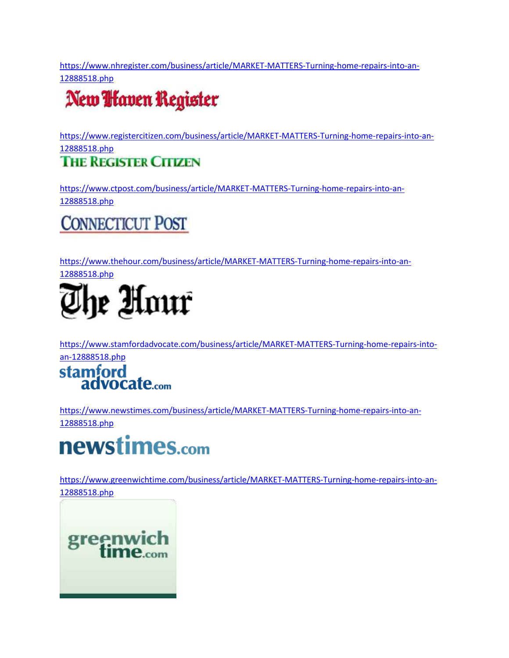[https://www.nhregister.com/business/article/MARKET-MATTERS-Turning-home-repairs-into-an-](https://www.nhregister.com/business/article/MARKET-MATTERS-Turning-home-repairs-into-an-12888518.php)[12888518.php](https://www.nhregister.com/business/article/MARKET-MATTERS-Turning-home-repairs-into-an-12888518.php)

## New *Haven* Register

[https://www.registercitizen.com/business/article/MARKET-MATTERS-Turning-home-repairs-into-an-](https://www.registercitizen.com/business/article/MARKET-MATTERS-Turning-home-repairs-into-an-12888518.php)[12888518.php](https://www.registercitizen.com/business/article/MARKET-MATTERS-Turning-home-repairs-into-an-12888518.php)

#### **THE REGISTER CITIZEN**

[https://www.ctpost.com/business/article/MARKET-MATTERS-Turning-home-repairs-into-an-](https://www.ctpost.com/business/article/MARKET-MATTERS-Turning-home-repairs-into-an-12888518.php)[12888518.php](https://www.ctpost.com/business/article/MARKET-MATTERS-Turning-home-repairs-into-an-12888518.php)

### **CONNECTICUT POST**

[https://www.thehour.com/business/article/MARKET-MATTERS-Turning-home-repairs-into-an-](https://www.thehour.com/business/article/MARKET-MATTERS-Turning-home-repairs-into-an-12888518.php)





[https://www.stamfordadvocate.com/business/article/MARKET-MATTERS-Turning-home-repairs-into-](https://www.stamfordadvocate.com/business/article/MARKET-MATTERS-Turning-home-repairs-into-an-12888518.php)



[https://www.newstimes.com/business/article/MARKET-MATTERS-Turning-home-repairs-into-an-](https://www.newstimes.com/business/article/MARKET-MATTERS-Turning-home-repairs-into-an-12888518.php)[12888518.php](https://www.newstimes.com/business/article/MARKET-MATTERS-Turning-home-repairs-into-an-12888518.php)

# newstimes.com

[https://www.greenwichtime.com/business/article/MARKET-MATTERS-Turning-home-repairs-into-an-](https://www.greenwichtime.com/business/article/MARKET-MATTERS-Turning-home-repairs-into-an-12888518.php)[12888518.php](https://www.greenwichtime.com/business/article/MARKET-MATTERS-Turning-home-repairs-into-an-12888518.php)

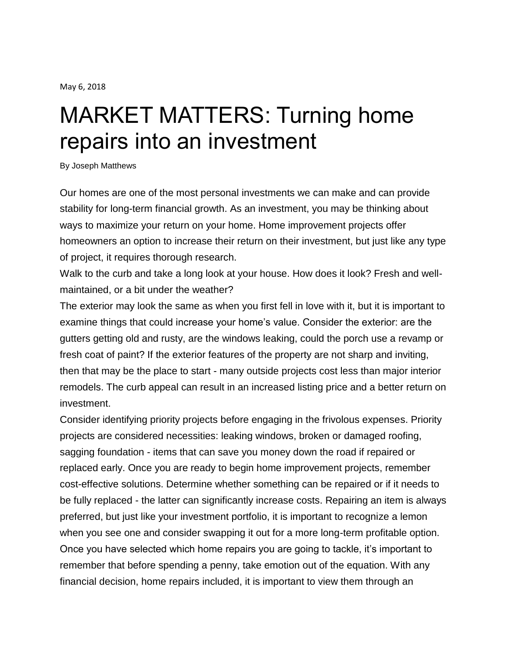May 6, 2018

# MARKET MATTERS: Turning home repairs into an investment

By Joseph Matthews

Our homes are one of the most personal investments we can make and can provide stability for long-term financial growth. As an investment, you may be thinking about ways to maximize your return on your home. Home improvement projects offer homeowners an option to increase their return on their investment, but just like any type of project, it requires thorough research.

Walk to the curb and take a long look at your house. How does it look? Fresh and wellmaintained, or a bit under the weather?

The exterior may look the same as when you first fell in love with it, but it is important to examine things that could increase your home's value. Consider the exterior: are the gutters getting old and rusty, are the windows leaking, could the porch use a revamp or fresh coat of paint? If the exterior features of the property are not sharp and inviting, then that may be the place to start - many outside projects cost less than major interior remodels. The curb appeal can result in an increased listing price and a better return on investment.

Consider identifying priority projects before engaging in the frivolous expenses. Priority projects are considered necessities: leaking windows, broken or damaged roofing, sagging foundation - items that can save you money down the road if repaired or replaced early. Once you are ready to begin home improvement projects, remember cost-effective solutions. Determine whether something can be repaired or if it needs to be fully replaced - the latter can significantly increase costs. Repairing an item is always preferred, but just like your investment portfolio, it is important to recognize a lemon when you see one and consider swapping it out for a more long-term profitable option. Once you have selected which home repairs you are going to tackle, it's important to remember that before spending a penny, take emotion out of the equation. With any financial decision, home repairs included, it is important to view them through an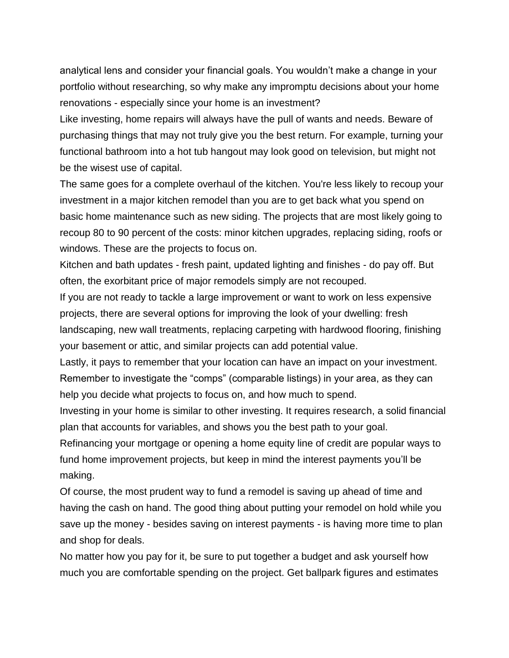analytical lens and consider your financial goals. You wouldn't make a change in your portfolio without researching, so why make any impromptu decisions about your home renovations - especially since your home is an investment?

Like investing, home repairs will always have the pull of wants and needs. Beware of purchasing things that may not truly give you the best return. For example, turning your functional bathroom into a hot tub hangout may look good on television, but might not be the wisest use of capital.

The same goes for a complete overhaul of the kitchen. You're less likely to recoup your investment in a major kitchen remodel than you are to get back what you spend on basic home maintenance such as new siding. The projects that are most likely going to recoup 80 to 90 percent of the costs: minor kitchen upgrades, replacing siding, roofs or windows. These are the projects to focus on.

Kitchen and bath updates - fresh paint, updated lighting and finishes - do pay off. But often, the exorbitant price of major remodels simply are not recouped.

If you are not ready to tackle a large improvement or want to work on less expensive projects, there are several options for improving the look of your dwelling: fresh landscaping, new wall treatments, replacing carpeting with hardwood flooring, finishing your basement or attic, and similar projects can add potential value.

Lastly, it pays to remember that your location can have an impact on your investment. Remember to investigate the "comps" (comparable listings) in your area, as they can help you decide what projects to focus on, and how much to spend.

Investing in your home is similar to other investing. It requires research, a solid financial plan that accounts for variables, and shows you the best path to your goal.

Refinancing your mortgage or opening a home equity line of credit are popular ways to fund home improvement projects, but keep in mind the interest payments you'll be making.

Of course, the most prudent way to fund a remodel is saving up ahead of time and having the cash on hand. The good thing about putting your remodel on hold while you save up the money - besides saving on interest payments - is having more time to plan and shop for deals.

No matter how you pay for it, be sure to put together a budget and ask yourself how much you are comfortable spending on the project. Get ballpark figures and estimates